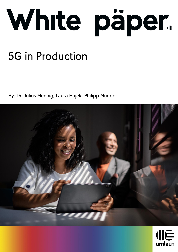

# 5G in Production

By: Dr. Julius Mennig, Laura Hajek, Philipp Münder



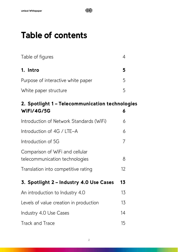# Table of contents

| Table of figures                   |                |  |
|------------------------------------|----------------|--|
| 1. Intro                           |                |  |
| Purpose of interactive white paper | $\overline{5}$ |  |
| White paper structure              |                |  |

| 2. Spotlight 1 - Telecommunication technologies                   |    |  |  |  |
|-------------------------------------------------------------------|----|--|--|--|
| <b>WiFi/4G/5G</b>                                                 | 6  |  |  |  |
| Introduction of Network Standards (WiFi)                          | 6  |  |  |  |
| Introduction of 4G / LTE-A                                        | 6  |  |  |  |
| Introduction of 5G                                                | 7  |  |  |  |
| Comparison of WiFi and cellular<br>telecommunication technologies | 8  |  |  |  |
| Translation into competitive rating                               | 12 |  |  |  |
| 3. Spotlight 2 - Industry 4.0 Use Cases                           | 13 |  |  |  |
| An introduction to Industry 4.0                                   | 13 |  |  |  |
| Levels of value creation in production                            | 13 |  |  |  |
| Industry 4.0 Use Cases                                            | 14 |  |  |  |
| <b>Track and Trace</b>                                            | 15 |  |  |  |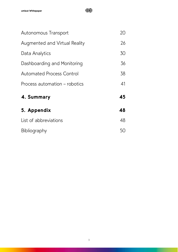| Autonomous Transport                 | 20 |
|--------------------------------------|----|
| <b>Augmented and Virtual Reality</b> | 26 |
| Data Analytics                       | 30 |
| Dashboarding and Monitoring          | 36 |
| <b>Automated Process Control</b>     | 38 |
| Process automation – robotics        | 41 |
| 4. Summary                           | 45 |
| 5. Appendix                          | 48 |
| List of abbreviations                | 48 |
| Bibliography                         | 50 |

**IIE**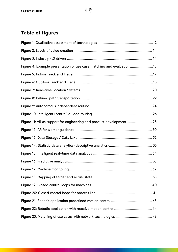

# <span id="page-3-0"></span>Table of figures

| Figure 4: Example presentation of use case matching and evaluation 15 |  |
|-----------------------------------------------------------------------|--|
|                                                                       |  |
|                                                                       |  |
|                                                                       |  |
|                                                                       |  |
|                                                                       |  |
|                                                                       |  |
| Figure 11: VR as support for engineering and product development  28  |  |
|                                                                       |  |
|                                                                       |  |
|                                                                       |  |
|                                                                       |  |
|                                                                       |  |
|                                                                       |  |
|                                                                       |  |
|                                                                       |  |
|                                                                       |  |
|                                                                       |  |
|                                                                       |  |
|                                                                       |  |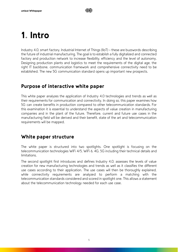# <span id="page-4-0"></span>1. Intro

Industry 4.0, smart factory, Industrial Internet of Things (IIoT) – these are buzzwords describing the future of industrial manufacturing. The goal is to establish a fully digitalized and connected factory and production network to increase flexibility, efficiency and the level of autonomy. Designing production plants and logistics to meet the requirements of the digital age, the right IT backbone, communication framework and comprehensive connectivity need to be established. The new 5G communication standard opens up important new prospects.

# <span id="page-4-1"></span>Purpose of interactive white paper

This white paper analyzes the application of Industry 4.0 technologies and trends as well as their requirements for communication and connectivity. In doing so, this paper examines how 5G can create benefits in production compared to other telecommunication standards. For this examination it is essential to understand the aspects of value creation in manufacturing companies and in the plant of the future. Therefore, current and future use cases in the manufacturing field will be derived and their benefit, state of the art and telecommunication requirements will be mapped.

# <span id="page-4-2"></span>White paper structure

The white paper is structured into two spotlights. One spotlight is focusing on the telecommunication technologies WiFi 4/5, WiFi 6, 4G, 5G including their technical details and limitations.

The second spotlight first introduces and defines Industry 4.0, assesses the levels of value creation for new manufacturing technologies and trends as well as it classifies the different use cases according to their application. The use cases will then be thoroughly explained, while connectivity requirements are analyzed to perform a matching with the telecommunication standards considered and scored in spotlight one. This allows a statement about the telecommunication technology needed for each use case.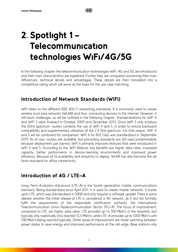# <span id="page-5-0"></span>2. Spotlight 1 – Telecommunication technologies WiFi/4G/5G

In the following chapter the telecommunication technologies WiFi, 4G and 5G are introduced and their main characteristics are explained. Further they are compared concerning their main differences, technical details and advantages. These details are then translated into a competitive rating which will serve as the basis for the use case matching.

# <span id="page-5-1"></span>Introduction of Network Standards (WiFi)

WiFi refers to the different IEEE 802.11 networking standards. It is commonly used to create wireless local area networks (WLAN) and thus, connecting devices to the internet. However, it still faces challenges, as will be outlined in the following chapter. Standardizations for WiFi 4 and WiFi 5 were finalized in October 2009 and December 2013. Since WiFi 5 only employs the 5GHz spectrum, routers combine the use of WiFi 4 and 5, in order to ensure backward compatibility and supplementary utilization of the 2,4 GHz spectrum. For that reason, WiFi 4 and 5 will be combined for comparison. WiFi 6 (or 802.11ax) was standardized in September 2019. As of now, routers are available, but preceding standards are still used predominately because deployment just started. WiFi 6 primarily improves features that were introduced in WiFi 4 and 5. According to the WiFi Alliance, key benefits are higher data rates, increased capacity, better performance in device-teeming environments and improved power efficiency. Because of its availability and simplicity to deploy, WLAN has also become the de facto standard for office connectivity.

# <span id="page-5-2"></span>Introduction of 4G / LTE-A

Long-Term-Evolution-Advanced (LTE-A) is the fourth-generation mobile communications standard. Being standardized since April 2011, it is used to create mobile networks. It builds upon LTE, which was standardized in 2008 and only requires a software update There is some debate whether the initial release of LTE is considered a 4G network, as it did not formally fulfill the requirements of the responsible certification authority, the International Telecommunication Union Radiocommunication Sector (ITU-R). The focus of improvement, compared to LTE, are higher data rates: LTE provides up to 300 Mbit/s in the downlink, but typically only realistically only reached 12,5 Mbit/s, while LTE-A provides up to 1200 Mbit/s with 100 Mbit/s being reached typically. Other areas of improvement are faster switching between power states to save energy and improved performance at the cell edge. Base stations only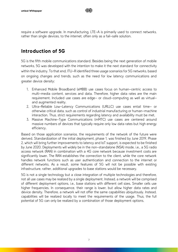川巨

require a software upgrade. In manufacturing, LTE-A is primarily used to connect networks, rather than single devices, to the internet, often only as a fail-safe solution.

# <span id="page-6-0"></span>Introduction of 5G

5G is the fifth mobile communications standard. Besides being the next generation of mobile networks, 5G was developed with the intention to make it the next standard for connectivity within the industry. To that end, ITU-R identified three usage scenarios for 5G networks, based on ongoing changes and trends, such as the need for low latency communications and greater device density:

- 1. Enhanced Mobile Broadband (eMBB) use cases focus on human-centric access to multi-media content, services and data. Therefore, higher data rates are the main requirement. Included use cases are edge- or cloud-computing as well as virtualand augmented reality.
- 2. Ultra-Reliable Low-Latency Communications (URLLC) use cases entail time- or otherwise critical data, such as control of industrial manufacturing or human-machine interaction. Thus, strict requirements regarding latency and availability must be met.
- 3. Massive Machine-Type Communications (mMTC) use cases are centered around massive numbers of devices that typically require only low data rates but high energy efficiency.

Based on those application scenarios, the requirements of the network of the future were derived. Standardization of the initial deployment, phase 1, was finished by June 2019. Phase 2, which will bring further improvements to latency and IoT support, is expected to be finished by June 2020. Deployments will widely be in the non-standalone (NSA) mode, i.e., a 5G radio access network (RAN) in combination with a 4G core network because investment costs are significantly lower. The RAN establishes the connection to the client, while the core network handles network functions such as user authentication and connection to the internet or different networks. As a result, some features of 5G will not be possible with existing infrastructure, rather, additional upgrades to base stations would be necessary.

5G is not a single technology but a close integration of multiple technologies and therefore, not all use cases may be realized by a single deployment. Instead, a network will be comprised of different deployment options, i.e., base stations with different cell sizes. Smaller cells use higher frequencies. In consequence, their range is lower, but allow higher data rates and device density. Therefore, a network will not offer the same capabilities ubiquitously. Instead, capabilities will be realized locally to meet the requirements of the usage. Thus, the full potential of 5G can only be realized by a combination of those deployment options.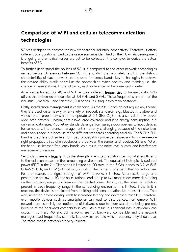# <span id="page-7-0"></span>Comparison of WiFi and cellular telecommunication technologies

5G was designed to become the new standard for industrial connectivity. Therefore, it offers different configurations fitted to the usage scenarios identified by the ITU-R. As development is ongoing and empirical values are yet to be collected, it is complex to derive the actual benefits of 5G.

To further understand the abilities of 5G, it is compared to the other network technologies named before. Differences between 5G, 4G and WiFi that ultimately result in the distinct characteristics of each network are the used frequency bands, key technologies to achieve the desired ability profile as well as the approach to cyber-security and roaming, i.e., the change of base stations. In the following, each difference will be presented in detail.

As aforementioned, 5G, 4G and WiFi employ different frequencies to transmit data. WiFi utilizes the unlicensed frequencies at 2,4 GHz and 5 GHz. These frequencies are part of the industrial-, medical- and scientific (ISM) bands, resulting in two main obstacles.

Firstly, **interference management** is challenging. As the ISM-Bands do not require any license, they are used quite heavily by a variety of network standards, e.g., Bluetooth, ZigBee and various other proprietary standards operate at 2,4 GHz. ZigBee is a so-called low-power wide-area network (LPWAN) that allows large coverage and little energy consumption, but only small data rates. Proprietary standards range from garage door openers to input devices for computers. Interference management is not only challenging because of the noise level and heavy usage, but because of the different standards operating parallelly. The 5 GHz ISM-Band is used less but suffers from bad propagation properties, especially for non-line-ofsight propagation, i.e., when obstacles are between the sender and receiver. 5G and 4G on the hand use licensed frequency bands. As a result, the noise level is lower and interference management is simple.

Secondly, there is a legal limit to the strength of emitted radiation, i.e., signal strength, and to the radiation present in the surrounding environment. The equivalent isotropically radiated power (EIRP) in the 2,4 GHz bands is limited to 100 mW, in the 5 GHz bands to 0,2 W (5,15 GHz-5,35 GHz) and 1 W (5,47 GHz-5,725 GHz). The former is only permitted for indoor use. For that reason, the signal strength of WiFi networks is limited. As a result, range and penetration are low. In 4G, the base stations send out up to two magnitudes more depending on the frequency range. Furthermore, the spectral power density, i.e., the power of radiation present in each frequency range in the surrounding environment, is limited. If the limit is reached, the device is prohibited from emitting additional radiation, i.e., transmit data. That way, increased device density leads to increased latency and decreased reliability. Therefore, even mobile devices such as smartphones can lead to disturbances. Furthermore, WiFi networks are especially susceptible to disturbances due to older standards being present, because of the backward combability in WiFi. As a result, a significant loss in efficiency can occur. In contrast, 4G and 5G networks are not backward compatible and the network manages used frequencies centrally, i.e., devices are told which frequency they should use. Therefore, mobile networks are very resilient.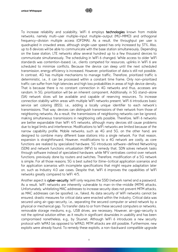To increase reliability and scalability, WiFi 6 employs technologies known from mobile networks, namely multi-user multiple-input multiple-output (MU-MIMO) and orthogonal frequency-division multiple access (OFDMA). As a result, the throughput per user is quadrupled in crowded areas, although single-user speed has only increased by 37%. Also, up to 8 devices will be able to communicate with the base station simultaneously. Depending on the base station, LTE networks allow several hundred up to a few thousand devices to communicate simultaneously. The scheduling in WiFi 6 changed. While access to older WiFi standards was contention-based, i.e., clients competed for resources, uplinks in WiFi 6 are scheduled to minimize conflicts. Because the device can sleep until the next scheduled transmission, energy efficiency is increased. However, prioritization of data is still not possible. In contrast, 4G has multiple mechanisms to manage traffic. Therefore, prioritized traffic is deterministic, i.e., it can be processed within a constant time frame. Only non-prioritized traffic can suffer from high latencies and high loss probabilities in areas of high device density. That is because there is no constant connection in 4G networks and thus, accesses are random. In 5G, prioritization will be an inherent component. Additionally, in 5G stand-alone (SA) network slices will be available and capable of reserving resources. To increase connection stability within areas with multiple WiFi networks present, WiFi 6 introduces basic service set coloring (BSS), i.e., adding a locally unique identifier to each network's transmissions. That way, devices can distinguish transmissions of their network from those of neighboring networks. As a result, the transmissions of neighboring networks can be ignored, making simultaneous transmissions in neighboring cells possible. Therefore, WiFi 6 networks are better expandable than WiFi 4/5 networks, although many devices still cause problems due to legal limits and interference. Modifications to WiFi networks are limited because of the narrow capability profile. Mobile networks, such as 4G and 5G, on the other hand, are designed to combine many different base stations into a single network. For that reason, expansion is straightforward. However, modifications to a 4G network are costly, as core functions are realized by specialized hardware. 5G introduces software-defined Networking (SDN) and network functions virtualization (NFV) to remedy that. SDN solves network tasks through software instead of specialized hardware, while NFV centralizes control over network functions, previously done by routers and switches. Therefore, modification of a 5G network is simple. For all those reasons, 5G is best suited for (time-)critical application scenarios and for application scenarios with incomplete specifications that might require adaptation later on, such as Industry 4.0 use cases. Despite that, WiFi 6 improves the capabilities of WiFi networks greatly compared to WiFi 4/5.

Another aspect is cyber-security. WiFi only requires the SSID (network name) and a password. As a result, WiFi networks are inherently vulnerable to man-in-the-middle (MITM) attacks. Unfortunately, whitelisting MAC addresses to increase security does not prevent MITM attacks, as MAC addresses can be spoofed, i.e., faked. As data security of WiFi networks cannot be ensured, drastic measures for critical data were enacted within the industry. Critical data was secured using air-gap-security, i.e., separating the secured computer or wired network by a physical or mechanical gap. To transfer data to or from these secured computers or networks, removable storage mediums, e.g., USB drives, are necessary. However, air-gap-security is not the optimal solution either, as it results in significant downsides in usability and has been compromised nonetheless, e.g., by Stuxnet. Although WiFi 6 introduces a new security protocol with WPA3 (as opposed to WPA2), MITM attacks are still possible. Furthermore, new exploits were already found. To remedy these exploits, a non-backward compatible upgrade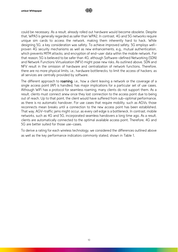

could be necessary. As a result, already rolled out hardware would become obsolete. Despite that, WPA3 is generally regarded as safer than WPA2. In contrast, 4G and 5G networks require unique sim cards to access the network, making them inherently hard to hack. While designing 5G, a key consideration was safety. To achieve improved safety, 5G employs wellproven 4G security mechanisms as well as new enhancements, e.g., mutual authentication, which prevents MITM attacks, and encryption of end-user data within the mobile network. For that reason, 5G is believed to be safer than 4G, although Software-defined Networking (SDN) and Network Functions Virtualization (NFV) might pose new risks. As outlined above, SDN and NFV result in the omission of hardware and centralization of network functions. Therefore, there are no more physical limits, i.e., hardware bottlenecks, to limit the access of hackers, as all services are centrally provided by software.

The different approach to roaming, i.e., how a client leaving a network or the coverage of a single access point (AP) is handled, has major implications for a particular set of use cases. Although WiFi has a protocol for seamless roaming, many clients do not support them. As a result, clients must connect anew once they lost connection to the access point due to being out of reach. Up to that point, the client would have suffered from sub-optimal performance, as there is no automatic handover. For use cases that require mobility, such as AGVs, those reconnects mean breaks until a connection to the new access point has been established. That way, AGV-traffic jams might occur, as every cell edge is a bottleneck. In contrast, mobile networks, such as 4G and 5G, incorporated seamless handovers a long time ago. As a result, clients are automatically connected to the optimal available access point. Therefore, 4G and 5G are better suited for those use-cases.

To derive a rating for each wireless technology, we considered the differences outlined above as well as the key performance indicators commonly stated, shown in [Table 1.](#page-10-0)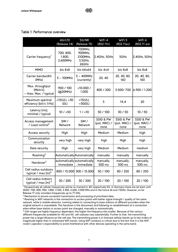## <span id="page-10-0"></span>Table 1: Performance overview

|                                                         | 4G/LTE<br>(Release 14)          | 5G/NR<br>(Release 15)                              | WiFi 4<br>(802.11n)               | WiFi 5<br>(802.11ac)              | WiFi 6<br>(802.11ax)              |
|---------------------------------------------------------|---------------------------------|----------------------------------------------------|-----------------------------------|-----------------------------------|-----------------------------------|
| Carrier frequency <sup>1</sup>                          | 700, 800,<br>1.800,<br>2.600MHz | 700MHz,<br>900MHz,<br>2100MHz,<br>3,5GHz,<br>26GHz | 2,4GHz, 5GHz                      | 5GHz                              | $2,4$ GHz, 5GHz                   |
| <b>MIMO</b>                                             | bis 8x8                         | bis 64x64                                          | bis 4x4                           | bis 8x8                           | bis 8x8                           |
| Carrier bandwidth<br>[MHz]                              | $5 - 100$ MHz                   | $5 - 400$ MHz<br>(currently)                       | 20, 40                            | 20, 40, 80,<br>160                | 20, 40, 80,<br>160                |
| Max. throughput<br>[Mbit/s]<br>- theo. Max. / typical   | 900 / 100<br>(@20MHz)           | >10.000 /<br>1.000                                 | 800 / 200                         | 3.500/700                         | 6.900 / 1.200                     |
| Maximum spectral<br>efficiency [bit/s 1/Hz]             | $>15(UL)$ , $>30$<br>(DL)       | $>15(UL)$ ,<br>>30(DL)                             | 5                                 | 14, 4                             | 20                                |
| Latency [ms],<br>minimal / typical                      | 10 / 50                         | 1 / 10                                             | 50 / 100                          | 30 / 50                           | 10/50                             |
| Access management<br>/ Load control <sup>2</sup>        | SIM/<br>Network                 | SIM/<br>Network                                    | SSID & PW<br>(pot. MAC) /<br>none | SSID & PW<br>(pot. MAC) /<br>none | SSID & PW<br>(pot. MAC) /<br>none |
| Access security                                         | High                            | High                                               | Medium                            | Medium                            | high                              |
| Communication<br>security                               | very high                       | very high                                          | high                              | High                              | high                              |
| Data security                                           | High                            | very high                                          | Medium                            | Medium                            | medium                            |
| Roaming <sup>3</sup>                                    |                                 | Automatically Automatically                        | manually                          | manually                          | manually                          |
| Handover <sup>3</sup>                                   | , immediate                     | automatically automatically<br>, immediate         | manually,<br>500 ms               | manually,<br>500 ms               | manually,<br>500 ms               |
| Cell radius outdoors<br>typical / max $[m]^4$           |                                 | 800 / 15.000 300 / 15.000                          | 50 / 100                          | 80 / 250                          | 80 / 250                          |
| Cell radius indoors<br>typical / max $[m]$ <sup>4</sup> | 30 / 200                        | 30 / 200                                           | 20 / 100                          | 20 / 100                          | 20 / 100                          |

<sup>1</sup> Perspectively all cellular frequencies will be re-framed to 4G respectively 5G. In Germany these are (at least until 2025): 700, 800, 900, 1.800, 2.100, 2.300, 2.600, 3,500 MHz and in the future 26 and 72GHz. However, so far Release 17 only considers frequencies up to 71 GHz.

<sup>2</sup> Mechanism to ensure successful transmission and processing of prioritized data.

<sup>3</sup> Roaming in WiFi networks is the connection to access points with better signal strength / quality of the same network, while in mobile networks, roaming relates to connecting to base stations of different providers when the original network is unavailable. The handover is the disconnect and following re-establishment of a connection when either base station or access point are changed, manually or automatically.

<sup>4</sup> Cell ranges are highly frequency dependent, the higher the frequency the smaller. Because of the various different frequencies available for 4G and 5G, cell radiuses vary substantially. Further to that, the transmitting power has a large influence on the cell size. The transmitting power is in licensed cellular bands up to two orders of magnitude higher than in unlicensed WiFi bands. Using WiFi outdoors is critical due to the fact that it is the WiFi router's operator's responsibility to avoid interference with other devices operating in the same band.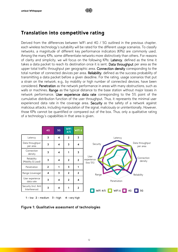# <span id="page-11-0"></span>Translation into competitive rating

Derived from the differences between WiFi and 4G / 5G outlined in the previous chapter, each wireless technology's suitability will be rated for the different usage scenarios. To classify networks, a magnitude of different key performance indicators (KPIs) are commonly used. Among the many KPIs, some differentiate networks more distinctively than others. For reasons of clarity and simplicity, we will focus on the following KPIs: Latency, defined as the time it takes a data packet to reach its destination once it is sent. Data throughput per area as the upper total traffic throughput per geographic area. Connection density corresponding to the total number of connected devices per area. Reliability, defined as the success probability of transmitting a data packet before a given deadline. For the rating, usage scenarios that put a strain on the network, e.g., by mobility or high number of connected devices, have been considered. Penetration as the network performance in areas with many obstructions, such as walls or machines. Range as the typical distance to the base station without major losses in network performance. User experience data rate corresponding to the 5% point of the cumulative distribution function of the user throughput. Thus, it represents the minimal user experienced data rate in the coverage area. Security as the safety of a network against malicious attacks, including manipulation of the signal, maliciously or unintentionally. However, those KPIs cannot be quantified or compared out of the box. Thus, only a qualitative rating of a technology's capabilities in that area is given.

|                                       | 4G                      | 5G                      | <b>WIFI</b><br>4/5 | WIFI <sub>6</sub>       |                                   |                             |
|---------------------------------------|-------------------------|-------------------------|--------------------|-------------------------|-----------------------------------|-----------------------------|
| Latency                               | 3                       | 4                       | $\overline{2}$     | $\overline{\mathbf{3}}$ | Latency                           |                             |
| Data throughput<br>per area           | $\overline{\mathbf{3}}$ | 4                       | 3                  | 4                       | Security                          | Data throughput<br>per area |
| Connection<br>density                 | 3                       | $\overline{\mathbf{4}}$ | 1                  | 3                       |                                   |                             |
| Reliability<br>(Mobility & Load)      | $\overline{\mathbf{3}}$ | 4                       | $\mathbf{2}$       | $\overline{2}$          | User<br>experience<br>(low 5%)    | Connection<br>density       |
| Penetration                           | $\overline{2}$          | 1                       | 3                  | 1                       |                                   |                             |
| Range (coverage)                      | 4                       | 3                       | $\overline{2}$     | $\overline{2}$          | Range                             | Reliability                 |
| User experience<br>data rate          | $\overline{\mathbf{3}}$ | 4                       | $\overline{2}$     | 4                       | Penetration                       |                             |
| Security (incl. Anti<br>Interference) | $\overline{\mathbf{3}}$ | 4                       | 1                  | $\overline{2}$          | WiFi $4/5$ $\Box$<br>WiFi 6<br>4G | 5G                          |

 $1 - low$   $2 - medium$   $3 - high$   $4 - very high$ 

<span id="page-11-1"></span>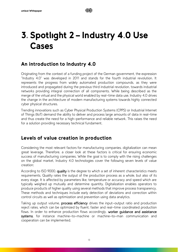# <span id="page-12-0"></span>3. Spotlight 2 – Industry 4.0 Use Cases

# <span id="page-12-1"></span>An introduction to Industry 4.0

Originating from the context of a funding project of the German government, the expression "Industry 4.0" was developed in 2011 and stands for the fourth industrial revolution. It represents the progress from widely automated production compounds, as they were introduced and propagated during the previous third industrial revolution, towards industrial networks providing integral connection of all components. While being described as the merge of the virtual and the physical world enabled by real-time data use, Industry 4.0 drives the change in the architecture of modern manufacturing systems towards highly connected cyber physical structures.

Trending innovations such as Cyber Physical Production Systems (CPPS) or Industrial Internet of Things (IIoT) demand the ability to deliver and process large amounts of data in real-time and thus create the need for a high-performance and reliable network. This raises the need for a solution providing necessary technical fundament.

# <span id="page-12-2"></span>Levels of value creation in production

Considering the most relevant factors for manufacturing companies, digitalization can mean great leverage. Therefore, a closer look at these factors is critical for ensuring economic success of manufacturing companies. While the goal is to comply with the rising challenges on the global market, Industry 4.0 technologies cover the following seven levels of value creation:

According to ISO 9000, quality is the degree to which a set of inherent characteristics meets requirements. Quality rates the output of the production process as a whole, but also of its every stage. It is affected by parameters like, temperature or accuracy and speed which are typically weighed up mutually and determine quantity. Digitalization enables operators to produce products of higher quality using several methods that improve process transparency. These methods and techniques include early detection of deviations and correction within control circuits as well as optimization and prevention using data analytics.

Taking up output volume, **process efficiency** drives the input-output ratio and production reject rates, which can be optimized by fluent, faster and real-time coordinated production flows. In order to enhance production flows accordingly, worker quidance and assistance systems, for instance machine-to-machine or machine-to-man communication and cooperation can be implemented.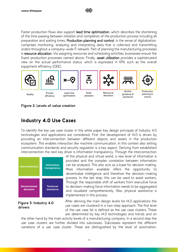

川戸





Lead time



Ressource allocation



planning & control

Quality Process efficiency

optimization



guidance & assistance

Production

## <span id="page-13-1"></span><span id="page-13-0"></span>**Figure 2: Levels of value creation**

# Industry 4.0 Use Cases

To identify the key use case cluster in this white paper key design principals of Industry 4.0 technologies and applications are considered. First, the development of I4.0 is driven by providing an interconnection between different objects and assets in the production ecosystem. This enables interaction like machine communication. In this context also setting communication standards and security regulation is a key aspect. Deriving from established interconnection the next key driver is information transparency. Through the interconnection



## <span id="page-13-2"></span>**Figure 3: Industry 4.0 drivers**

of the physical and virtual world, a new level of information is provided and the complex correlation between information can be analyzed. This also acts as a base for decision making. More information available offers the opportunity to decentralize intelligence and therefore the decision-making process. In the last step, this can be used to assist workers. Through the responsible shift of workers from executive force to decision-making force information needs to be aggregated and visualized comprehensively. Also, physical assistance is implemented in this process.

After deriving the main design levels for I4.0 applications the use cases are clustered in a two-step approach. The first level of the use case list is defined as the use case clusters. These are determined by key I4.0 technologies and trends and on

the other hand by the main activity levels of a manufacturing company. In a second step the use case clusters are further divided into subclasses. Subclasses represent the different variations of a use case cluster. These are distinguished by the level of automation,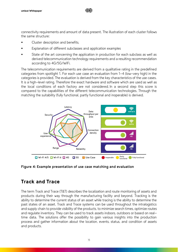connectivity requirements and amount of data present. The illustration of each cluster follows the same structure:

川戸

- Cluster description and benefits,
- Explanation of different subclasses and application examples
- State of the art concerning the application in production for each subclass as well as derived telecommunication technology requirements and a resulting recommendation according to 4G/5G/WiFi.

The telecommunication requirements are derived from a qualitative rating in the predefined categories from spotlight 1. For each use case an evaluation from 1-4 (low-very high) in the categories is provided. The evaluation is derived from the key characteristics of the use cases. It is a high-level rating. Therefore the exact hardware and software which are used as well as the local conditions of each factory are not considered. In a second step this score is compared to the capabilities of the different telecommunication technologies. Through the matching the suitability (fully functional, partly functional and inoperable) is derived.



<span id="page-14-1"></span>**Figure 4: Example presentation of use case matching and evaluation**

# <span id="page-14-0"></span>Track and Trace

The term Track and Trace (T&T) describes the localization and route monitoring of assets and products during their way through the manufacturing facility and beyond. Tracking is the ability to determine the current status of an asset while tracing is the ability to determine the past states of an asset. Track and Trace systems can be used throughout the intralogistics and supply chain to provide visibility of the products, to minimize search times, optimize routes and regulate inventory. They can be used to track assets indoors, outdoors or based on realtime data. The solutions offer the possibility to gain various insights into the production process and gather information about the location, events, status, and condition of assets and products.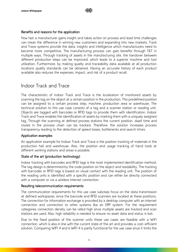## Benefits and reasons for the application

How fast a manufacturer gains insight and takes action on process and lead time challenges can mean the difference in winning new customers and expanding into new markets. Track and Trace systems provide the data, insights and intelligence which manufacturers need to become more competitive. The manufacturing process can gain benefits through T&T in multiple ways. Through tracking of assets in the manufacturing site, the handover between different production steps can be improved, which leads to a superior machine and tool utilization. Furthermore, by making quality and traceability data available at all production locations quality standards can be obtained. Having an accurate history of each product available also reduces the expenses, impact, and risk of a product recall.

# Indoor Track and Trace

The characteristic of indoor Track and Trace is the localization of monitored assets by scanning the tag on the object at a certain position in the production. This predefined position can be assigned to a certain process step, machine, production area or warehouse. The technical solution to this use case consists of a tag and a scanner station or reading unit. Objects are tagged with barcodes or RFID tags to provide them with identification. Indoor Track and Trace enables the identification of assets by marking them with a uniquely assigned tag. Through the scanning at defined process stations the current position, dwell time and routes in the process chain can be tracked. Therefore, the solution increases process transparency leading to the detection of speed losses, bottlenecks and search times.

## Application examples

An application example for Indoor Track and Trace is the position tracking of materials in the production hall and warehouse. Also, the position and usage tracking of hand tools at different working stations and areas is possible.

## State of the art (production technology)

Indoor tracking with barcodes and RFID tags is the most implemented identification method. The tag design is determined by the code position on the object and readability. The tracking with barcodes or RFID tags is based on visual contact with the reading unit. The position of the reading units is identified with a specific position and can either be directly connected with a computer or via a wireless internet connection.

## Resulting telecommunication requirements

The communication requirements for this use case subclass focus on the data transmission at defined workspaces, since the barcode and RFID scanners are located at these positions. The connection for information exchange is provided by a desktop computer with an internet connection and connection to other systems like an ERP system. For the requirement categories connection density can be rated high since multiple assets are tracked and scan stations are used. Also, high reliability is needed to ensure no asset data and status is lost.

Due to the fixed position of the scanner units these use cases are feasible with a WiFi connection, which is also in line with the current state of the art and provides a cost-efficient solution. Comparing WIFI 4 and 6 WIFI 4 is partly functional for the use case since it limits the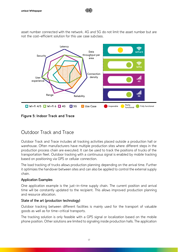asset number connected with the network. 4G and 5G do not limit the asset number but are not the cost-efficient solution for this use case subclass.

Ⅲ户



<span id="page-16-0"></span>**Figure 5: Indoor Track and Trace**

# Outdoor Track and Trace

Outdoor Track and Trace includes all tracking activities placed outside a production hall or warehouse. Often manufacturers have multiple production sites where different steps in the production process chain are executed. It can be used to track the positions of trucks of the transportation fleet. Outdoor tracking with a continuous signal is enabled by mobile tracking based on positioning via GPS or cellular connection.

The load tracking of trucks allows production planning depending on the arrival time. Further it optimizes the handover between sites and can also be applied to control the external supply chain.

# Application Examples

One application example is the just-in-time supply chain. The current position and arrival time will be constantly updated to the recipient. This allows improved production planning and resource allocation.

# State of the art (production technology)

Outdoor tracking between different facilities is mainly used for the transport of valuable goods as well as for time-critical transports.

The tracking solution is only feasible with a GPS signal or localization based on the mobile phone position. Other solutions are limited to signaling inside production halls. The application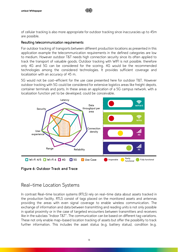of cellular tracking is also more appropriate for outdoor tracking since inaccuracies up to 45m are possible.

川戸

#### Resulting telecommunication requirements

For outdoor tracking of transports between different production locations as presented in this application example the telecommunication requirements in the defined categories are low to medium. However outdoor T&T needs high connection security since its often applied to track the transport of valuable goods. Outdoor tracking with WIFI is not possible, therefore only 4G and 5G can be considered for the scoring. 4G would be the recommended technologies among the considered technologies. It provides sufficient coverage and localization with an accuracy of 45 m.

5G would not be cost-efficient for the use case presented here for outdoor T&T. However outdoor tracking with 5G could be considered for extensive logistics areas like freight depots, container terminals and ports. In these areas an application of a 5G campus network, with a localization function yet to be developed, could be conceivable.



<span id="page-17-0"></span>**Figure 6: Outdoor Track and Trace**

# Real-time Location Systems

In contrast Real-time location systems (RTLS) rely on real-time data about assets tracked in the production facility. RTLS consist of tags placed on the monitored assets and antennas providing the areas with even signal coverage to enable wireless communication. The exchange of information and data between transmitting and reading units is not only possible in spatial proximity or in the case of targeted encounters between transmitters and receivers like in the subclass "Indoor T&T". The communication can be based on different tag variations. These not only enable map-based location tracking of assets but offer the possibility to track further information. This includes the asset status (e.g. battery status), condition (e.g.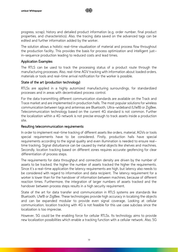

progress, scrap), history and detailed product information (e.g. order number, final product properties, and characteristics). Also, the tracing data saved on the advanced tags can be edited and further information added by the worker.

The solution allows a holistic real-time visualization of material and process flow throughout the production facility. This provides the basis for process optimization and intelligent justin-sequence production leading to reduced costs and lead times.

#### Application Examples

The RTLS can be used to track the processing status of a product route through the manufacturing processes. Also, real-time AGV tracking with information about loaded orders, materials or tools and real-time arrival notification for the worker is possible.

## State of the art (production technology)

RTLSs are applied in a highly automized manufacturing surroundings, for standardized processes and in areas with decentralized process control.

For the data transmitting different communication standards are available on the Track and Trace market and are implemented in production halls. The most popular solutions for wireless communication between tags and antennas are Bluetooth, Ultra-wideband (UWB) or ZigBee. Telecommunication technology based on the current 4G standard is not common. Further the localization within a 4G network is not precise enough to track assets inside a production site.

#### Resulting telecommunication requirements

In order to implement real-time tracking of different assets like orders, material, AGVs or tools special requirements have to be considered. Firstly, production halls have special requirements according to the signal quality and even illumination is needed to ensure realtime tracking. Signal disturbance can be caused by metal objects like shelves and machines. Secondly, location tracking based on different zones requires accurate geofencing for clear differentiation of process steps.

The requirements for data throughput and connection density are driven by the number of assets to be tracked, the higher the number of assets tracked the higher the requirements. Since it's a real-time application the latency requirements are high, but latency also needs to be considered with regard to information and data recipient. The latency requirement for a worker is lower than for the handover of information between machines, because of different reaction times. Furthermore, the integration of larger numbers of assets tracked and the handover between process steps results in a high security requirement.

State of the art for data transfer and communication in RTLS systems are standards like Bluetooth, UWB or ZigBee. These technologies provide high accuracy in localizing the objects and can be expanded modular to provide even signal coverage. Looking at cellular communication, location tracking with 4G is not feasible for this use case subclass since the localization is too imprecise.

However, 5G could be the enabling force for cellular RTLSs. Its technology aims to provide new localization possibilities which enable a tracking function with a cellular network. Also, 5G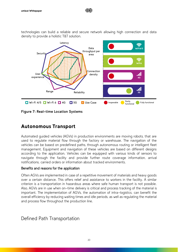technologies can build a reliable and secure network allowing high connection and data density to provide a holistic T&T solution.

川戸



<span id="page-19-1"></span><span id="page-19-0"></span>**Figure 7: Real-time Location Systems**

# Autonomous Transport

Automated guided vehicles (AGVs) in production environments are moving robots, that are used to regulate material flow through the factory or warehouse. The navigation of the vehicles can be based on predefined paths, through autonomous routing or intelligent fleet management. Equipment and navigation of these vehicles are based on different designs according to the application. Vehicles can be equipped with various kinds of sensors to navigate through the facility and provide further route coverage information, arrival notifications, carried orders or information about tracked environments.

## Benefits and reasons for the application

Often AGVs are implemented in case of a repetitive movement of materials and heavy goods over a certain distance. This offers relief and assistance to workers in the facility. A similar criterion is a transportation in hazardous areas where safe human transport is not possible. Also, AGVs are in use when on-time delivery is critical and process tracking of the material is important. The implementation of AGVs, the automation of intra-logistics, can benefit the overall efficiency by reducing waiting times and idle periods, as well as regulating the material and process flow throughout the production line.

# Defined Path Transportation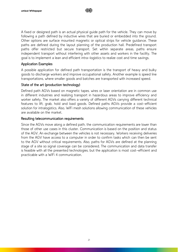A fixed or designed path is an actual physical guide path for the vehicle. They can move by following a path defined by inductive wires that are buried or embedded into the ground. Other options are surface mounted magnetic or optical strips for vehicle guidance. These paths are defined during the layout planning of the production hall. Predefined transport paths offer restricted but secure transport. Set within separate areas, paths ensure independent transport without interfering with other assets and workers in the facility. The goal is to implement a lean and efficient intra-logistics to realize cost and time savings.

## Application Examples

A possible application for defined path transportation is the transport of heavy and bulky goods to discharge workers and improve occupational safety. Another example is speed line transportations, where smaller goods and batches are transported with increased speed.

## State of the art (production technology)

Defined path AGVs based on magnetic tapes, wires or laser orientation are in common use in different industries and realizing transport in hazardous areas to improve efficiency and worker safety. The market also offers a variety of different AGVs carrying different technical features to lift, grab, hold and load goods. Defined paths AGVs provide a cost-efficient solution for intralogistics. Also, WiFi mesh solutions allowing communication of these vehicles are available on the market.

## Resulting telecommunication requirements

Since the AGVs move along a defined path, the communication requirements are lower than those of other use cases in this cluster. Communication is based on the position and status of the AGV. An exchange between the vehicles is not necessary. Workers receiving deliveries from the AGV have access to a computer in order to confirm tasks which can then be sent to the AGV without critical requirements. Also, paths for AGVs are defined at the planning stage of a site so signal coverage can be considered. The communication and data transfer is feasible with all the presented technologies, but the application is most cost-efficient and practicable with a WiFi 4 communication.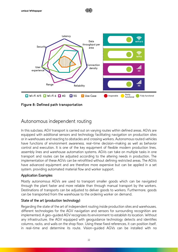

Ⅲ户

<span id="page-21-0"></span>**Figure 8: Defined path transportation**

# Autonomous independent routing

In this subclass, AGV transport is carried out on varying routes within defined areas. AGVs are equipped with additional sensors and technology facilitating navigation on production sites or in warehouses and reacting to obstacles and crossing workers. Autonomous routed vehicles have functions of environment awareness, real-time decision-making as well as behavior control and execution. It is one of the key equipment of flexible modern production lines, assembly lines and warehouse automation systems. AGVs can take on multiple tasks in one transport and routes can be adjusted according to the altering needs in production. The implementation of these AGVs can be retrofitted without defining restricted areas. The AGVs have advanced equipment and are therefore more expensive but can be applied in a set system, providing automated material flow and worker support.

# Application Examples

Mostly autonomous AGVs are used to transport smaller goods which can be navigated through the plant faster and more reliable than through manual transport by the workers. Destinations of transports can be adjusted to deliver goods to workers. Furthermore, goods can be transported from the warehouse to the ordering worker on demand.

# State of the art (production technology)

Regarding the state of the art of independent routing inside production sites and warehouses, different technologies for the AGV navigation and sensors for surrounding recognition are implemented. A geo-guided AGV recognizes its environment to establish its location. Without any infrastructure, the AGV equipped with geoguidance technology detects and identifies columns, racks, and walls on the shop floor. Using these fixed references, it can position itself, in real-time and determine its route. Vision-guided AGVs can be installed with no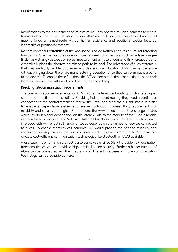

modifications to the environment or infrastructure. They operate by using cameras to record features along the route. The vision-guided AGV uses 360-degree images and builds a 3D map to follow a trained route without human assistance and additional special features, landmarks or positioning systems.

Navigation without retrofitting of the workspace is called Natural Features or Natural Targeting Navigation. One method uses one or more range-finding sensors, such as a laser rangefinder, as well as gyroscopes or inertial measurement units to understand its whereabouts and dynamically plans the shortest permitted path to its goal. The advantage of such systems is that they are highly flexible for on-demand delivery to any location. AGVs can handle failure without bringing down the entire manufacturing operation since they can plan paths around failed devices. To enable these functions the AGVs need a real-time connection to send their location, receive new tasks and plan their routes accordingly.

#### Resulting telecommunication requirements

The communication requirements for AGVs with an independent routing function are higher compared to defined path solutions. Providing independent routing, they need a continuous connection to the control system to receive their task and send the current status. In order to enable a dependable system and ensure continuous material flow, requirements for reliability and security are higher. Furthermore, the AGVs need to react to changes faster, which results in higher dependency on the latency. Due to the mobility of the AGVs a reliable cell handover is required. For WiFi 4 a fast cell handover is not feasible. This function is improved with WiFi 6, but still handover speed depends on the number of devices connected to a cell. To enable seamless cell handover 4G would provide the needed reliability and connection density among the options considered. However, similar to RTLSs there are wireless cost-efficient communication technologies like Bluetooth or UWB available.

A use case implementation with 5G is also conceivable, since 5G will provide new localization functionalities as well as providing higher reliability and security. Further a higher number of AGVs can be connected and the integration of different use cases with one communication technology can be considered here.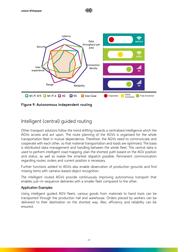

川戸

<span id="page-23-0"></span>**Figure 9: Autonomous independent routing**

# Intelligent (central) guided routing

Other transport solutions follow the trend shifting towards a centralized intelligence which the AGVs access and act upon. The route planning of the AGVs is organized for the whole transportation fleet in mutual dependence. Therefore, the AGVs need to communicate and cooperate with each other, so that material transportation and loads are optimized. The basis is distributed data management and handling between the whole fleet. This central data is used to perform intelligent road mapping, plan the shortest path based on the AGV position and status, as well as realize the smartest dispatch possible. Permanent communication regarding routes, orders and current position is necessary.

Further functions added to AGVs also enable observation of production grounds and find missing items with camera-based object recognition.

The intelligent routed AGVs provide continuously improving autonomous transport that enables just-in-sequence deliveries with a smaller fleet compared to the other.

## Application Examples

Using intelligent guided AGV fleets, various goods from materials to hand tools can be transported through the production hall and warehouse. Orders placed by workers can be delivered to their destination on the shortest way. Also, efficiency and reliability can be ensured.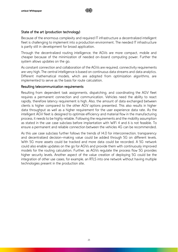# State of the art (production technology)

Because of the enormous complexity and required IT infrastructure a decentralized intelligent fleet is challenging to implement into a production environment. The needed IT infrastructure is partly still in development for broad application.

Through the decentralized routing intelligence, the AGVs are more compact, mobile and cheaper because of the minimization of needed on-board computing power. Further the system allows updates on the go.

As constant connection and collaboration of the AGVs are required, connectivity requirements are very high. The central intelligence is based on continuous data streams and data analytics. Different mathematical models, which are adopted from optimization algorithms, are implemented to serve as the basis for route calculation.

## Resulting telecommunication requirements

Resulting from dependent task assignments, dispatching, and coordinating the AGV fleet requires a permanent connection and communication. Vehicles need the ability to react rapidly, therefore latency requirement is high. Also, the amount of data exchanged between clients is higher compared to the other AGV options presented. This also results in higher data throughput as well as a higher requirement for the user experience data rate. As the intelligent AGV fleet is designed to optimize efficiency and material flow in the manufacturing process, it needs to be highly reliable. Following the requirements and the mobility assumption as stated in the use case subclass before implantation with WiFi 4 and 6 is not feasible. To ensure a permanent and reliable connection between the vehicles 4G can be recommended.

As this use case subclass further follows the trends of I4.0 for interconnection, transparency and decentralized decision-making value could be added through 5G on different levels. With 5G more assets could be tracked and more data could be recorded. A 5G network could also enable updates on the go for AGVs and provide them with continuously improved models for the routing calculation. Further, as AGVs regulate the process flow 5G provides higher security levels. Another aspect of the value creation of deploying 5G could be the integration of other use cases, for example, an RTLS into one network without having multiple technologies present in the production site.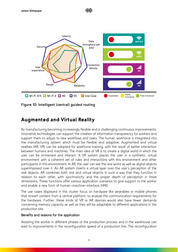

川戸

<span id="page-25-1"></span>**Figure 10: Intelligent (central) guided routing**

# <span id="page-25-0"></span>Augmented and Virtual Reality

As manufacturing becoming increasingly flexible and is challenging continuous improvements, innovative technologies can support the creation of information transparency for workers and support them to adjust to new workflows and tasks. The human workforce is integrated into the manufacturing system which must be flexible and adaptive. Augmented and virtual realities (AR, VR) can be adopted for workforce training, with the result of better interaction between humans and machines. The main idea of VR is to create a digital world in which the user can be immersed and interact. A VR system places the user in a synthetic, virtual environment with a coherent set of rules and interactions with this environment and other participants in this environment. In AR, the user can see the real world as well as digital objects superimposed over it. An AR system inserts a virtual layer over the user's perception of the real objects. AR combines both real and virtual objects in such a way that they function in relation to each other, with synchronicity and the proper depth of perception in three dimensions. These functions offer various application scenarios to give support to the worker and enable a new form of human-machine-interface (HMI).

The use cases displayed in this cluster focus on hardware like wearables or mobile phones that stream content from a central platform, to analyze the communication requirements for the hardware. Further, these kinds of VR or AR devices would also have fewer demands concerning memory capacity as well as they will be adaptable to different applications in the production site.

## Benefits and reasons for the application

Assisting the worker in different phases of the production process and in the warehouse can lead to improvements in the reconfiguration speed of a production line. The reconfiguration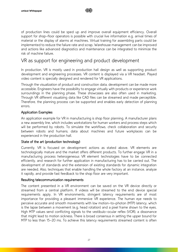

of production lines could be sped up and improve overall equipment efficiency. Overall support for shop-floor operators is possible with crucial live information e.g. arrival times of material or the display of alarms at machines. Virtual training for assembling parts could be implemented to reduce the failure rate and scrap. Warehouse management can be improved and actions like advanced diagnostics and maintenance can be integrated to minimize the risk of machine failure.

# VR as support for engineering and product development

In production, VR is mostly used in production hall design as well as supporting product development and engineering processes. VR content is displayed via a VR headset. Played video content is specially designed and rendered for VR applications.

Through the visualization of product and construction data, development can be made more accessible. Engineers have the possibility to engage virtually with products or experience work surroundings in the planning phase. These showcases are also often used in marketing. Through VR different visualizing data like CAD files can be streamed and made perceptible. Therefore, the planning process can be supported and enables early detection of planning errors.

## Application Examples

An application example for VR in manufacturing is shop floor planning. A manufacturer plans a new assembly line, which includes workstations for human workers and process steps which will be performed by robots. To simulate the workflows, check collaboration and security between robots and humans, data about machines and future workplaces can be experienced in the production hall.

## State of the art (production technology)

Currently, VR is focused on development actions as stated above. VR elements are technologically mature and the market offers different products. To further engage VR in a manufacturing process heterogeneous VR element technologies have to be connected efficiently, and research for further application in manufacturing has to be carried out. The development of standards and the extension of existing standards for dynamic integration are needed. Also, techniques that enable handling the whole factory at an instance, analyze it rapidly, and provide fast feedback to the shop floor are very important.

## Resulting telecommunication requirements

The content presented in a VR environment can be saved on the VR device directly or streamed from a central platform. If videos will be streamed to the end device special requirements apply. In VR environments, stringent latency requirements are of most importance for providing a pleasant immersive VR experience. The human eye needs to perceive accurate and smooth movements with low motion-to-photon (MTP) latency, which is the lapse between a movement (e.g. head rotation) and a pixel frame shown to the eyes. High MTP values send conflicting signals to the vestibulo-ocular reflex (VOR), a dissonance that might lead to motion sickness. There is broad consensus in setting the upper bound for MTP to less than 15-20 ms. To achieve this latency requirements streamed content is often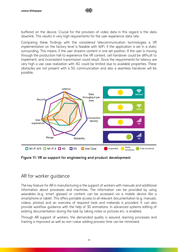buffered on the device. Crucial for the provision of video data in this regard is the data downlink. This results in very high requirements for the user experience data rate.

川戸

Comparing these findings with the considered telecommunication technologies a VR implementation on the factory level is feasible with WiFi, if the application is set in a static surrounding. This means, if the user streams content in one set position. If the user is moving through the production hall to experience the VR content, cell handover could be difficult to implement, and inconsistent transmission could result. Since the requirements for latency are very high a use case realization with 4G could be limited due to available properties. These obstacles are not present with a 5G communication and also a seamless handover will be possible.



<span id="page-27-0"></span>**Figure 11: VR as support for engineering and product development**

# AR for worker guidance

The key feature for AR in manufacturing is the support of workers with manuals and additional information about processes and machines. The information can be provided by using wearables (e.g. smart glasses) or content can be accessed via a mobile device like a smartphone or tablet. This offers portable access to all relevant documentation (e.g. manuals, videos, photos) and an overview of required tools and materials is provided. It can also provide workflow guidance with the help of 3D animations. In advanced systems editing of existing documentation during the task by taking notes or pictures etc. is enabled.

Through AR support of workers, the demanded quality is assured, learning processes and training is improved as well as non-value adding process time can be minimized.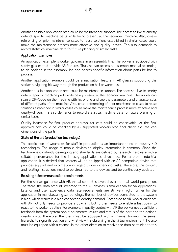川巨

Another possible application area could be maintenance support. The access to live telemetry data of specific machine parts while being present at the regarded machine. Also, crossreferencing of prior maintenance cases to reuse solutions established in similar cases could make the maintenance process more effective and quality-driven. This also demands to record statistical machine data for future planning of similar tasks.

## Application Examples

An application example is worker guidance in an assembly line. The worker is equipped with safety glasses that provide AR features. Thus, he can access an assembly manual according to his position in the assembly line and access specific information about parts he has to process.

Another application example could be a navigation feature in AR glasses supporting the worker navigating his way through the production hall or warehouse.

Another possible application area could be maintenance support. The access to live telemetry data of specific machine parts while being present at the regarded machine. The worker can scan a QR-Code on the machine with his phone and see the parameters and characteristics of different parts of the machine. Also, cross-referencing of prior maintenance cases to reuse solutions established in similar cases could make the maintenance process more effective and quality-driven. This also demands to record statistical machine data for future planning of similar tasks.

Quality insurance for final product approval for cars could be conceivable. At the final approval cars could be checked by AR supported workers who final check e.g. the cap dimensions of the parts.

## State of the art (production technology)

The application of wearables for staff in production is an important trend in Industry 4.0 technologies. The usage of mobile devices to display information is common. Since the hardware is constantly developing and standards are defined by research, hardware with a suitable performance for the industry application is developed. For a broad industrial application, it is desired that workers will be equipped with an AR compatible device that provides support and information in regard to daily changing tasks. Therefore, the content and relating instructions need to be streamed to the devices and be continuously updated.

## Resulting telecommunication requirements

For the worker guidance with AR, virtual content is layered over the real-world perception. Therefore, the data amount streamed to the AR devices is smaller than for VR applications. Latency and user experience data rate requirements are still very high. Further for the application in manufacturing surroundings, the number of devices connected to the system is high, which results in a high connection density demand. Compared to VR, worker guidance with AR not only needs to provide a downlink, but further needs to enable a fast uplink to react to the worker's action. For example, in quality control with AR the worker needs sufficient feedback from the system about parameters, values and status of the part and the defined quality limits. Therefore, the user must be equipped with a channel towards the server hierarchy to signal its position and what view it is observing in the virtual environment. He also must be equipped with a channel in the other direction to receive the data pertaining to this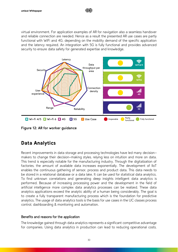virtual environment. For application examples of AR for navigation also a seamless handover and reliable connection are needed. Hence as a result the presented AR use cases are partly functional with WiFi and 4G, depending on the mobility demand of the specific application and the latency required. An integration with 5G is fully functional and provides advanced security to ensure data safety for generated expertise and knowledge.

Ⅲ户



<span id="page-29-1"></span>**Figure 12: AR for worker guidance**

# <span id="page-29-0"></span>Data Analytics

Recent improvements in data storage and processing technologies have led many decisionmakers to change their decision-making styles, relying less on intuition and more on data. This trend is especially notable for the manufacturing industry. Through the digitalization of factories, the amount of available data increases exponentially. The development of IIoT enables the continuous gathering of sensor, process and product data. This data needs to be stored in a relational database or a data lake. It can be used for statistical data analytics. To find unknown correlations and generating deep insights intelligent data analytics is performed. Because of increasing processing power and the development in the field of artificial intelligence more complex data analytics processes can be realized. These data analytics applications exceed the analytic ability of a human being considerably. The goal is to create a fully transparent manufacturing process which is the foundation for predictive analytics. The usage of data analytics tools is the basis for use cases in the UC classes process control, dashboarding & monitoring and automation.

## Benefits and reasons for the application

The knowledge gained through data analytics represents a significant competitive advantage for companies. Using data analytics in production can lead to reducing operational costs,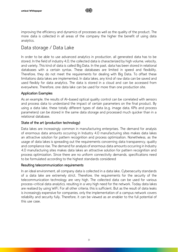improving the efficiency and dynamics of processes as well as the quality of the product. The more data is collected in all areas of the company the higher the benefit of using data analytics.

# Data storage / Data Lake

In order to be able to use advanced analytics in production, all generated data has to be stored. In the field of industry 4.0, the collected data is characterized by high volume, velocity, and variety. This kind of data is called Big Data. In the past, data has been stored in relational databases with a certain syntax. These databases are limited in speed and flexibility. Therefore, they do not meet the requirements for dealing with Big Data. To offset these limitations data lakes are implemented. In data lakes, any kind of raw data can be saved and used flexibly for data analytics. The data is stored in a cloud and can be accessed from everywhere. Therefore, one data lake can be used for more than one production site.

# Application Examples

As an example, the results of AI-based optical quality control can be correlated with sensors and process data to understand the impact of certain parameters on the final product. By using a data lake, these totally different types of data (e.g. image data, KPIs and process parameters) can be stored in the same data storage and processed much quicker than in a relational database.

# State of the art (production technology)

Data lakes are increasingly common in manufacturing enterprises. The demand for analysis of enormous data amounts occurring in Industry 4.0 manufacturing sites makes data lakes an attractive solution for pattern recognition and process optimization. Nonetheless, as the usage of data lakes is spreading out the requirements concerning data transparency, quality and compliance rise. The demand for analysis of enormous data amounts occurring in Industry 4.0 manufacturing sites makes data lakes an attractive solution for pattern recognition and process optimization. Since there are no uniform connectivity demands, specifications need to be formulated according to the highest standards considered

# Resulting telecommunication requirements

In an ideal environment, all company data is collected in a data lake. Cybersecurity standards of a data lake are extremely strict. Therefore, the requirements for the security of the telecommunication technology are very high. The collected data can be used for various process-critical data analytics, resulting in a very high need for the network. Today data lakes are realized by using WiFi. For all other criteria, this is sufficient. But as the result of data leaks is increasingly expensive for companies, only the implementation of a campus network covers reliability and security fully. Therefore, it can be viewed as an enabler to the full potential of this use case.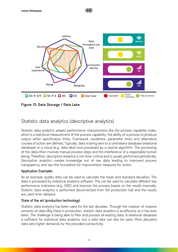

Ⅲ户

<span id="page-31-0"></span>**Figure 13: Data Storage / Data Lake**

# Statistic data analytics (descriptive analytics)

Statistic data analytics adapts performance characteristics like the process capability index, which is a statistical measurement of the process capability: the ability of a process to produce output within specification limits. Framework conditions, parameter limits and alternative courses of action are defined. Typically, data is being sent to a centralized database (relational database) or a cloud (e.g. data lake) and processed by a central algorithm. The processing of the data often involves manual process steps and the interference of a responsible human being. Therefore, descriptive analytics is not time-critical and is usually performed periodically. Descriptive analytics creates knowledge out of raw data leading to improved process transparency and lays the foundation for improvement measures for action.

## Application Examples

As an example, quality data can be used to calculate the mean and standard deviation. The data is processed by statistical analytics software. This can be used to calculate different key performance indicators (e.g. OEE) and improve the process based on the results manually. Statistic data analytics is performed disconnected from the production hall and the results are used time-delayed.

# State of the art (production technology)

Statistic data analytics has been used for the last decades. Through the creation of massive amounts of data (Big Data) in production, statistic data analytics is as effective as it has ever been. The challenge is being able to filter and process all existing data. A relational database is sufficient for statistical data analytics, but a data lake can also be used. More allocated data sets higher demands for the provided connectivity.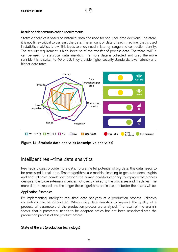## Resulting telecommunication requirements

Statistic analytics is based on historical data and used for non-real-time decisions. Therefore, it is not time-critical to transmit the data. The amount of data of each machine, that is used in statistic analytics, is low. This leads to a low need in latency, range and connection density. The security requirement is high, because of the transfer of process data. Therefore, WiFi 4 can be used for statistical data analytics. The more data is collected and used the more sensible it is to switch to 4G or 5G. They provide higher security standards, lower latency and higher data rates.

川户



<span id="page-32-0"></span>**Figure 14: Statistic data analytics (descriptive analytics)**

# Intelligent real-time data analytics

New technologies provide more data. To use the full potential of big data, this data needs to be processed in real-time. Smart algorithms use machine learning to generate deep insights and find unknown correlations beyond the human analytics capacity to improve the process design and explore external influences not directly linked to the processes and machines. The more data is created and the longer these algorithms are in use, the better the results will be.

## Application Examples

By implementing intelligent real-time data analytics of a production process, unknown correlations can be discovered. When using data analytics to improve the quality of a product, all parameters of the production process are analyzed. The result of the analysis shows, that a parameter needs to be adapted, which has not been associated with the production process of the product before.

## State of the art (production technology)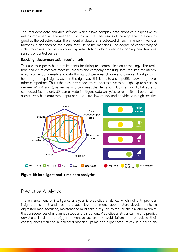The intelligent data analytics software which allows complex data analytics is expensive as well as implementing the needed IT-infrastructure. The results of the algorithms are only as good as the collected data. The amount of data that is collected differs immensely in various factories. It depends on the digital maturity of the machines. The degree of connectivity of older machines can be improved by retro-fitting, which describes adding new features, sensors or control panels.

川戸

#### Resulting telecommunication requirements

This use case poses high requirements for fitting telecommunication technology. The realtime analysis of complex machine, process and company data (Big Data) requires low latency, a high connection density and data throughput per area. Unique and complex AI-algorithms help to get deep insights. Used in the right way, this leads to a competitive advantage over other competitors. This is the reason why security standards have to be high. Up to a certain degree, WiFi 4 and 6, as well as 4G, can meet the demands. But in a fully digitalized and connected factory only 5G can elevate intelligent data analytics to reach its full potential. It allows a very high data throughput per area, ultra-low latency and provides very high security.



<span id="page-33-0"></span>**Figure 15: Intelligent real-time data analytics**

# Predictive Analytics

The enhancement of intelligence analytics is predictive analytics, which not only provides insights on current and past data but allows statements about future developments. In digitalized manufacturing, maintenance must take a key role to reduce the risk and minimize the consequences of unplanned stops and disruptions. Predictive analytics can help to predict deviations in data, to trigger preventive actions to avoid failures or to reduce their consequences resulting in increased machine uptime and higher productivity. In order to do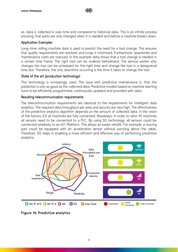so, data is collected in real-time and compared to historical data. This is an infinite process ensuring, that parts are only changed when it is needed and before a machine breaks down.

Ⅲ户

## Application Examples

Long-time milling machine data is used to predict the need for a tool change. This ensures that quality requirements are reached, and scrap is minimized. Furthermore, downtimes and maintenance costs are reduced. In this example data shows that a tool change is needed in a certain time frame. The right tool can be ordered beforehand. The service worker who changes the tool can be scheduled for the right time and change the tool in a designated time slot. Therefore, the only downtime occurring is the time it takes to change the tool.

## State of the art (production technology)

This technology is increasingly used. The issue with predictive maintenance is, that the prediction is only as good as the collected data. Predictive models based on machine learning have to be efficiently programmed, continuously updated and provided with data.

## Resulting telecommunication requirements

The telecommunication requirements are identical to the requirements for intelligent data analytics. The required data throughput per area and security are very high. The effectiveness of the predictive analytics algorithm depends on the amount of collected data. In the vision of the factory 4.0 all machines are fully connected. Nowadays, in order to retro-fit machines all sensors need to be connected to a PLC. By using 5G technology, all sensors could be connected wirelessly to an IoT-Platform. This allows an easier retrofit. For example, a moving part could be equipped with an acceleration sensor without worrying about the cable. Therefore, 5G helps in enabling a more efficient and effective way of performing predictive analytics.



<span id="page-34-0"></span>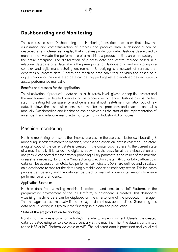# <span id="page-35-0"></span>Dashboarding and Monitoring

The use case cluster "Dashboarding and Monitoring" describes use cases that allow the visualization and contextualization of process and product data. A dashboard can be described as a single-screen display that visualizes production data. Dashboards are used to monitor and evaluate the performance of a machine, a production line, an entire factory or the entire enterprise. The digitalization of process data and central storage based in a relational database or a data lake is the prerequisite for dashboarding and monitoring in a complex and agile manufacturing environment. Underlying is a network of sensors that generates all process data. Process and machine data can either be visualized based on a digital shadow or the generated data can be mapped against a predefined desired state to assess performance manually.

## Benefits and reasons for the application

The visualization of production data across all hierarchy levels gives the shop floor worker and the management a detailed overview of the process performance. Dashboarding is the first step in creating full transparency and generating almost real-time information out of raw data. It allows the responsible persons to monitor the processes and react to anomalies manually. Dashboarding and Monitoring can be viewed as the start of the implementation of an efficient and adaptive manufacturing system using Industry 4.0 principles.

# Machine monitoring

Machine monitoring represents the simplest use case in the use case cluster dashboarding & monitoring. In order to monitor a machine, process and condition, data is collected. Therefore, a digital copy of the current state is created. If the digital copy represents the current state of a machine fully, it is called the digital shadow. It is the basis for all data visualization and analytics. A connected sensor network providing all key parameters and values of the machine or asset is a necessity. By using a Manufacturing Execution System (MES) or IoT-platform, this data can be accessed remotely. Key performance indicators (KPIs) are defined and visualized on a dashboard to monitor the data using a mobile device or stationary screen. This increases process transparency and the data can be used for manual process interventions to ensure performance and efficiency.

## Application Examples

Machine data from a milling machine is collected and sent to an IoT-Platform. In the programming environment of the IoT-Platform, a dashboard is created. This dashboard visualizing machine data can be displayed on the smartphone of the production manager. The manager can act manually if the displayed data shows abnormalities. Generating this data and visualizing it is typically the first step in a digitalized production.

## State of the art (production technology)

Monitoring machines is common in today's manufacturing environment. Usually, the created data is created using sensors collected centrally at the machine. Then the data is transmitted to the MES or IoT-Platform via cable or WiFi. The collected data is processed and visualized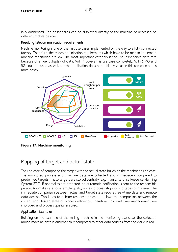in a dashboard. The dashboards can be displayed directly at the machine or accessed on different mobile devices.

川戸

#### Resulting telecommunication requirements

Machine monitoring is one of the first use cases implemented on the way to a fully connected factory. Therefore, the telecommunication requirements which have to be met to implement machine monitoring are low. The most important category is the user experience data rate because of a fluent display of data. WiFi 4 covers this use case completely. WiFi 6, 4G and 5G could be used as well, but the application does not add any value in this use case and is more costly.



<span id="page-36-0"></span>**Figure 17: Machine monitoring**

# Mapping of target and actual state

The use case of comparing the target with the actual state builds on the monitoring use case. The monitored process and machine data are collected and immediately compared to predefined targets. These targets are stored centrally, e.g. in an Enterprise Resource Planning System (ERP). If anomalies are detected, an automatic notification is sent to the responsible person. Anomalies are for example quality issues, process stops or shortages of material. The immediate comparison between actual and target state requires real-time data and remote data access. This leads to quicker response times and allows the comparison between the current and desired state of process efficiency. Therefore, cost and time management are improved and process quality ensured.

## Application Examples

Building on the example of the milling machine in the monitoring use case, the collected milling machine data is automatically compared to other data sources from the cloud in real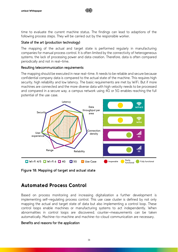time to evaluate the current machine status. The findings can lead to adaptions of the following process steps. They will be carried out by the responsible worker.

川户

## State of the art (production technology)

The mapping of the actual and target state is performed regularly in manufacturing companies for manual process control. It is often limited by the connectivity of heterogeneous systems, the lack of processing power and data creation. Therefore, data is often compared periodically and not in real-time.

## Resulting telecommunication requirements

The mapping should be executed in near real-time. It needs to be reliable and secure because confidential company data is compared to the actual state of the machine. This requires high security, high reliability and low latency. The basic requirements are met by WiFi. But if more machines are connected and the more diverse data with high velocity needs to be processed and compared in a secure way, a campus network using 4G or 5G enables reaching the full potential of the use case.



<span id="page-37-1"></span>**Figure 18: Mapping of target and actual state**

# <span id="page-37-0"></span>Automated Process Control

Based on process monitoring and increasing digitalization a further development is implementing self-regulating process control. This use case cluster is defined by not only mapping the actual and target state of data but also implementing a control loop. These control loops enable machines or manufacturing systems to act independently. When abnormalities in control loops are discovered, counter-measurements can be taken automatically. Machine-to-machine and machine-to-cloud communication are necessary.

## Benefits and reasons for the application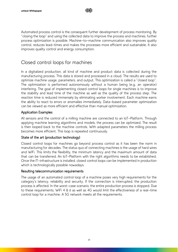$$
\text{d}\text{H}
$$

Automated process control is the consequent further development of process monitoring. By "closing the loop" and using the collected data to improve the process and machines, further process optimization is possible. Machine-to-machine communication also improves quality control, reduces lead-times and makes the processes more efficient and sustainable. It also improves quality control and energy consumption.

# Closed control loops for machines

In a digitalized production, all kind of machine and product data is collected during the manufacturing process. This data is stored and processed in a cloud. The results are used to optimize machine usage, parameters, and output. This optimization is called a "closed loop". The optimization is performed autonomously without a human being (e.g. an operator) interfering. The goal of implementing closed control loops for single machines is to improve the stability and lead time of the machine as well as the quality of the process step. The reaction time is reduced immensely by eliminating worker involvement. Each machine earns the ability to react to errors or anomalies immediately. Data-based parameter optimization can be viewed as more efficient and effective than manual optimization.

## Application Examples

All sensors and the control of a milling machine are connected to an IoT-Platform. Through applying machine learning algorithms and models, the process can be optimized. The result is then looped back to the machine controls. With adapted parameters the milling process becomes more efficient. This loop is repeated continuously.

## State of the art (production technology)

Closed control loops for machines go beyond process control as it has been the norm in manufacturing for decades. The status quo of connecting machines is the usage of hard wires and WiFi. This limits the flexibility, the minimum latency and the maximum amount of data that can be transferred. An IoT-Platform with the right algorithms needs to be established. Once the IT-infrastructure is installed, closed control loops can be implemented in production which is technologically possible nowadays.

## Resulting telecommunication requirements

The usage of an automated control loop of a machine poses very high requirements for the category's latency, reliability and security. If the connection is interrupted, the production process is affected. In the worst-case scenario, the entire production process is stopped. Due to these requirements, WiFi 4 & 6 as well as 4G would limit the effectiveness of a real-time control loop for a machine. A 5G network meets all the requirements.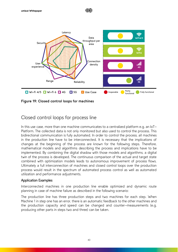

川戸

<span id="page-39-0"></span>**Figure 19: Closed control loops for machines**

# Closed control loops for process line

In this use case, more than one machine communicates to a centralized platform e.g. an IoT-Platform. The collected data is not only monitored but also used to control the process. This bidirectional communication is fully automated. In order to control the process, all machines in the production line have to be interconnected. It is necessary that the implications of changes at the beginning of the process are known for the following steps. Therefore, mathematical models and algorithms describing the process and implications have to be implemented. By combining the digital shadow with those models and algorithms, a digital twin of the process is developed. The continuous comparison of the actual and target state combined with optimization models leads to autonomous improvement of process flows. Ultimately a full interconnection of machines and closed control loops over the production process would result in the spectrum of automated process control as well as automated utilization and performance adjustments.

## Application Examples

Interconnected machines in one production line enable optimized and dynamic route planning in case of machine failure as described in the following scenario:

The production line has three production steps and two machines for each step. When Machine 1 in step one has an error, there is an automatic feedback to the other machines and the production capacity and speed can be changed and counter-measurements (e.g. producing other parts in steps two and three) can be taken.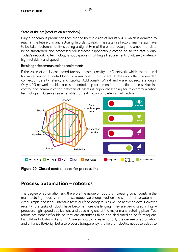# State of the art (production technology)

Fully autonomous production lines are the holistic vision of Industry 4.0, which is admired to reach in the future of manufacturing. In order to reach this state in a factory, many steps have to be taken beforehand. By creating a digital twin of the entire factory, the amount of data being transferred and processed will increase exponentially compared to the status quo. Today's networking technology is not capable of fulfilling all requirements of ultra-low latency, high-reliability and speed.

Ⅲ户

## Resulting telecommunication requirements

If the vision of a fully connected factory becomes reality, a 4G network, which can be used for implementing a control loop for a machine, is insufficient. It does not offer the needed connection density, latency and stability. Additionally, WiFi 4 and 6 are not secure enough. Only a 5G network enables a closed control loop for the entire production process. Machine control and communication between all assets is highly challenging for telecommunication technologies. 5G serves as an enabler for realizing a completely smart factory.



<span id="page-40-1"></span>**Figure 20: Closed control loops for process line**

# <span id="page-40-0"></span>Process automation – robotics

The degree of automation and therefore the usage of robots is increasing continuously in the manufacturing industry. In the past, robots were deployed on the shop floor to automate either simple and labor-intensive tasks or lifting dangerous as well as heavy objects. However recently, the tasks of robots have become more challenging. They are being used in highprecision, high-speed applications and becoming one of the major manufacturing pillars. Yet, robots are rather inflexible as they are oftentimes fixed and dedicated to performing one task. While Industry 4.0 and CPPS are aiming to increase not only the degree of automation and enhance flexibility, but also process transparency, the field of robotics needs to adapt to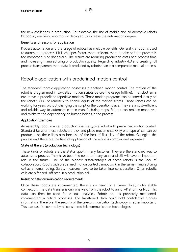the new challenges in production. For example, the rise of mobile and collaborative robots ("Cobots") are being enormously deployed to increase the automation degree.

川巨

## Benefits and reasons for application

Process automation and the usage of robots has multiple benefits. Generally, a robot is used to automate a process if it is cheaper, faster, more efficient, more precise or if the process is too monotonous or dangerous. The results are reducing production costs and process time and increasing manufacturing or production quality. Regarding Industry 4.0 and creating full process transparency more data is produced by robots than in a comparable manual process.

# Robotic application with predefined motion control

The standard robotic application possesses predefined motion control. The motion of the robot is programmed in so-called motion scripts before the usage (offline). The robot arms etc. move in predefined repetitive motions. Those motion programs can be stored locally on the robot's CPU or remotely to enable agility of the motion scripts. Those robots can be working for years without changing the script or the operation place. They are a cost-efficient and reliable way to automate certain manufacturing steps. Robots can replace manpower and minimize the dependency on human beings in the process.

## Application Examples

An assembly robot in a car production line is a typical robot with predefined motion control. Standard tasks of these robots are pick and place movements. Only one type of car can be produced on these lines also because of the lack of flexibility of the robot. Changing the process and therefore the field of application of the robot is complex and expensive.

## State of the art (production technology)

These kinds of robots are the status quo in many factories. They are the standard way to automize a process. They have been the norm for many years and still will have an important role in the future. One of the biggest disadvantages of these robots is the lack of collaboration. Robots with predefined motion control cannot work in the same manufacturing cell as a human being. Safety measures have to be taken into consideration. Often robotic cells are a fenced-off area in a production hall.

## Resulting telecommunication requirements

Once these robots are implemented, there is no need for a time-critical, highly stable connection. The data transfer is only one way: from the robot to an IoT-Platform or MES. This data can then be used for various analytics. Robots are, as previously mentioned, implemented in critical processes. The transferred data could hold confidential process information. Therefore, the security of the telecommunication technology is rather important. This use case is covered by all considered telecommunication technologies.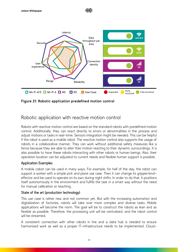



<span id="page-42-0"></span>**Figure 21: Robotic application predefined motion control**

# Robotic application with reactive motion control

Robots with reactive motion control are based on the standard robots with predefined motion control. Additionally, they can react directly to errors or abnormalities in the process and adjust motions or tasks in real-time. Sensors integration might be needed. This can be helpful if the robot is used as a mobile robot. The reactive motion control also supports the usage of robots in a collaborative manner. They can work without additional safety measures like a fence because they are able to alter their motion reacting to their dynamic surroundings. It is also possible to have these robots interacting with other robots or human beings. Also, their operation location can be adjusted to current needs and flexible human support is possible.

## Application Examples

A mobile cobot can be used in many ways. For example, for half of the day, the robot can support a worker with a simple pick and place use case. Then it can change its gripper/endeffector and be used to operate on its own during night shifts. In order to do that, it positions itself autonomously in the environment and fulfills the task in a smart way without the need for manual calibration or teaching.

## State of the art (production technology)

This use case is rather new and not common yet. But with the increasing automation and digitalization of factories, robots will take over more complex and diverse tasks. Mobile applications will become the norm. The goal will be to construct the robots as lean and as flexible as possible. Therefore, the processing unit will be centralized, and the robot control will be streamed.

A consistent connection with other robots in line and a data hub is needed to ensure harmonized work as well as a proper IT-infrastructure needs to be implemented. Cloud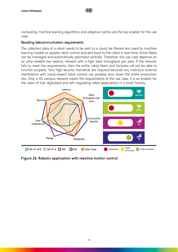computing, machine learning algorithms and adaptive control are the key enabler for this use case.

川戸

#### Resulting telecommunication requirements

The collected data of a robot needs to be sent to a cloud, be filtered and used by machine learning models to update robot control and sent back to the robot in real-time. Entire fleets can be managed and automatically optimized centrally. Therefore, this use case depends on an ultra-reliable low-latency network with a high data throughput per area. If the network fails to meet the requirements, then the entire robot fleets and factories will not be able to function properly. Very high security standards are required because any malicious external interference with cloud-based robot control can possibly shut down the entire production site. Only a 5G campus network meets the requirements of this use case. It is an enabler for the vision of fully digitalized and self-regulating robot applications in a smart factory.



<span id="page-43-0"></span>**Figure 22: Robotic application with reactive motion control**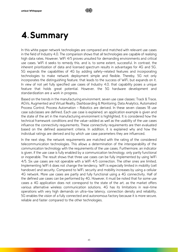# <span id="page-44-0"></span>4.Summary

In this white paper network technologies are compared and matched with relevant use cases in the field of Industry 4.0. The comparison shows that all technologies are capable of realizing high data rates. However, WiFi 4/5 proves unsuited for demanding environments and critical use cases. WiFi 6 seeks to remedy this, and is, to some extent, successful. In contrast, the inherent prioritization of data and licensed spectrum results in advantages for 4G and 5G. 5G expands the capabilities of 4G by adding safety-related features and incorporating technologies to make network deployment simple and flexible. Thereby, 5G not only incorporates the distinguishing feature, that leads to the success of WiFi, but expands on it. In view of not yet fully specified use cases of Industry 4.0, that capability poses a unique feature that holds great potential. However, the 5G hardware development and standardization are a work in progress.

Based on the trends in the manufacturing environment, seven use case classes: Track & Trace, AGVs, Augmented and Virtual Reality, Dashboarding & Monitoring, Data Analytics, Automated Process Control, Process Automation – Robotics are derived. In these seven classes 18 use case subclasses are defined. Each use case is explained, an application example is given and the state of the art in the manufacturing environment is highlighted. It is considered how the technical framework conditions and the value-added as well as the usability of the use cases influence the connectivity requirements. These connectivity requirements are then evaluated based on the defined assessment criteria. In addition, it is explained why and how the individual ratings are derived and by which use case parameters they are influenced.

In the next step, the network requirements are matched with the rating of the considered telecommunication technologies. This allows a determination of the interoperability of the communication technology with the requirements of the use cases. Furthermore, an indicator is given, if the use case is fully enabled by a communication technology, only partly functional or inoperable. The result shows that three use cases can be fully implemented by using WiFi 4/5. Six use cases are not operable with a WiFi 4/5 connection. The other ones are limited. Implementing WiFi 6 does not change the tendency. WiFi is especially limited in mobility (cell handover) and security. Compared to WiFi, security and mobility increases by using a cellular 4G network. More use cases are partly and fully functional using a 4G connectivity. Half of the defined use cases can be performed by 4G. However, it must be noted that for some use cases a 4G application does not correspond to the state of the art, as the market offers various alternative wireless communication solutions. 4G has its limitations in real-time operations with very high demands on ultra-low latency, connection density and reliability. 5G enables the vision of a fully connected and autonomous factory because it is more secure, reliable and faster compared to the other technologies.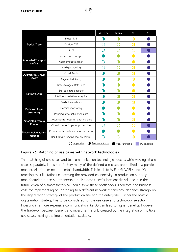|                                        |                                         | <b>WiFi 4/5</b>   | WiFi 6                  | 4G        | 5G         |
|----------------------------------------|-----------------------------------------|-------------------|-------------------------|-----------|------------|
|                                        | Indoor T&T                              |                   |                         | $\Box$    |            |
| Track & Trace                          | Outdoor T&T                             |                   |                         | CL.       |            |
|                                        | <b>RLTS</b>                             |                   |                         |           |            |
|                                        | Defined path transport                  |                   |                         |           |            |
| <b>Automated Transport</b><br>$- AGVs$ | Autonomous transport                    |                   |                         |           |            |
|                                        | Intelligent routing                     |                   |                         | Œ         |            |
| Augmented/Virtual                      | Virtual Reality                         |                   |                         | Œ         |            |
| Reality                                | Augmented Reality                       | Œ                 |                         | $\bigcap$ |            |
| Data Analytics                         | Data storage / Data Lake                |                   |                         |           |            |
|                                        | Statistic data analytics                |                   |                         |           |            |
|                                        | Intelligent real-time analytics         |                   |                         |           |            |
|                                        | Predictive analytics                    |                   |                         | C         |            |
| Dashboarding &                         | Machine monitoring                      |                   |                         |           |            |
| Monitoring                             | Mapping of target/actual state          |                   |                         |           |            |
| <b>Automated Process</b>               | Closed control loops for each machine   | Œ                 |                         | C         |            |
| Control                                | Closed control loops for process line   | 88                |                         |           |            |
| Process Automation -                   | Robotics with predefined motion control |                   |                         |           |            |
| <b>Robotics</b>                        | Robitics with reactive motion control   |                   |                         | Œ         |            |
|                                        | <b>O</b><br>Inoperable                  | Partly functional | <b>Fully functional</b> |           | 5G enabled |

Ⅲ户

## <span id="page-45-0"></span>**Figure 23: Matching of use cases with network technologies**

The matching of use cases and telecommunication technologies occurs while viewing all use cases separately. In a smart factory many of the defined use cases are realized in a parallel manner. All of them need a certain bandwidth. This leads to WiFi 4/5, WiFi 6 and 4G reaching their limitations concerning the provided connectivity. In production not only manufacturing process bottlenecks but also data transfer bottlenecks will occur. In the future vision of a smart factory 5G could solve these bottlenecks. Therefore, the business case for implementing or upgrading to a different network technology, depends strongly on the digitalization strategy of the production site and the enterprise. Further the holistic digitalization strategy has to be considered for the use case and technology selection. Investing in a more expensive communication like 5G can lead to higher benefits. However, the trade-off between benefit and investment is only created by the integration of multiple use cases, making the implementation scalable.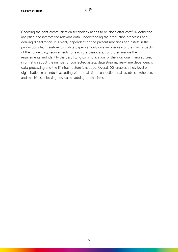

Choosing the right communication technology needs to be done after carefully gathering, analyzing and interpreting relevant data, understanding the production processes and deriving digitalization. It is highly dependent on the present machines and assets in the production site. Therefore, this white paper can only give an overview of the main aspects of the connectivity requirements for each use case class. To further analyze the requirements and identify the best fitting communication for the individual manufacturer, information about the number of connected assets, data streams, real-time dependency, data processing and the IT infrastructure is needed. Overall, 5G enables a new level of digitalization in an industrial setting with a real-time connection of all assets, stakeholders and machines unlocking new value-adding mechanisms.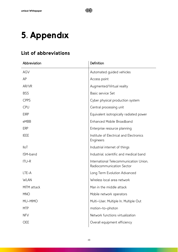# <span id="page-47-0"></span>5. Appendix

# <span id="page-47-1"></span>List of abbreviations

| Abbreviation | Definition                                                          |
|--------------|---------------------------------------------------------------------|
| <b>AGV</b>   | Automated guided vehicles                                           |
| AP           | Access point                                                        |
| AR/VR        | Augmented/Virtual reality                                           |
| <b>BSS</b>   | Basic service Set                                                   |
| <b>CPPS</b>  | Cyber physical production system                                    |
| <b>CPU</b>   | Central processing unit                                             |
| <b>EIRP</b>  | Equivalent isotropically radiated power                             |
| eMBB         | Enhanced Mobile Broadband                                           |
| <b>ERP</b>   | Enterprise resource planning                                        |
| <b>IEEE</b>  | Institute of Electrical and Electronics<br>Engineers                |
| <b>IloT</b>  | Industrial internet of things                                       |
| ISM-band     | Industrial, scientific and medical band                             |
| <b>ITU-R</b> | International Telecommunication Union,<br>Radiocommunication Sector |
| LTE-A        | Long Term Evolution Advanced                                        |
| <b>WLAN</b>  | Wireless local area network                                         |
| MITM attack  | Man in the middle attack                                            |
| <b>MNO</b>   | Mobile network operators                                            |
| MU-MIMO      | Multi-User, Multiple In, Multiple Out                               |
| <b>MTP</b>   | motion-to-photon                                                    |
| <b>NFV</b>   | Network functions virtualization                                    |
| <b>OEE</b>   | Overall equipment efficiency                                        |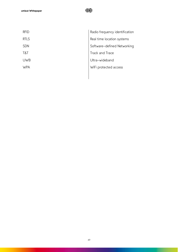

| Radio frequency identification |
|--------------------------------|
| Real time location systems     |
| Software-defined Networking    |
| Track and Trace                |
| Ultra-wideband                 |
| WiFi protected access          |
|                                |
|                                |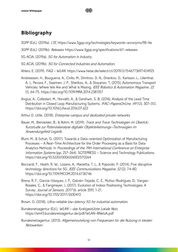# Ⅲ户

# <span id="page-49-0"></span>Bibliography

- 3GPP (Ed.). (2019a). LTE. https://www.3gpp.org/technologies/keywords-acronyms/98-lte
- 3GPP (Ed.). (2019b). Releases. https://www.3gpp.org/specifications/67-releases
- 5G ACIA. (2019a). 5G for Automation in Industry.
- 5G ACIA. (2019b). 5G for Connected Industries and Automation.

Ahlers, E. (2019). FAQ - WLAN. https://www.heise.de/select/ct/2019/2/1546773697424925

- Andreasson, H., Bouguerra, A., Cirillo, M., Dimitrov, D. N., Driankov, D., Karlsson, L., Lilienthal, A. J., Pecora, F., Saarinen, J. P., Sherikov, A., & Stoyanov, T. (2015). Autonomous Transport Vehicles: Where We Are and What Is Missing. IEEE Robotics & Automation Magazine, 22 (1), 64–75. https://doi.org/10.1109/MRA.2014.2381357
- Angius, A., Colledani, M., Horváth, A., & Gershwin, S. B. (2016). Analysis of the Lead Time Distribution in Closed Loop Manufacturing Systems. IFAC-PapersOnLine, 49(12), 307-312. https://doi.org/10.1016/j.ifacol.2016.07.622
- Arthur D. Little. (2018). Enterprise campus and dedicated private networks.
- Bauer, M., Bienzeisler, B., & Rohm, M. (2019). Track and Trace Technologien im Überlick: Kurzstudie zur Potenzialanalyse digitaler Objekterkennungs-Technoogien im Anwendungsfeld Logistik.
- Blum, M., & Schuh, G. (2017). Towards a Data-oriented Optimization of Manufacturing Processes - A Real-Time Architecture for the Order Processing as a Basis for Data Analytics Methods. In Proceedings of the 19th International Conference on Enterprise Information Systems (pp. 257-264). SCITEPRESS - Science and Technology Publications. https://doi.org/10.5220/0006326002570264
- Boccardi, F., Heath, R. W., Lozano, A., Marzetta, T. L., & Popovski, P. (2014). Five disruptive technology directions for 5G. IEEE Communications Magazine, 52(2), 74-80. https://doi.org/10.1109/MCOM.2014.6736746
- Brena, R. F., García-Vázquez, J. P., Galván-Tejada, C. E., Muñoz-Rodriguez, D., Vargas-Rosales, C., & Fangmeyer, J. (2017). Evolution of Indoor Positioning Technologies: A Survey. Journal of Sensors, 2017 (6, article 359), 1–21. https://doi.org/10.1155/2017/2630413
- Brown, G. (2018). Ultra-reliable low-latency 5G for industrial automation.
- Bundesnetzagentur (Ed.). WLAN das funktgestützte Lokale Netz. https://emf3.bundesnetzagentur.de/pdf/WLAN-BNetzA.pdf
- Bundesnetzagentur. (2013). Allgemeinzuteilung von Frequenzen für die Nutzung in lokalen Netzwerken.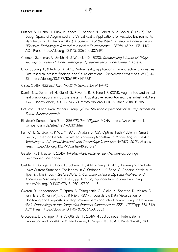Büttner, S., Mucha, H., Funk, M., Kosch, T., Aehnelt, M., Robert, S., & Röcker, C. (2017). The Design Space of Augmented and Virtual Reality Applications for Assistive Environments in Manufacturing. In Unknown (Ed.), Proceedings of the 10th International Conference on PErvasive Technologies Related to Assistive Environments - PETRA '17 (pp. 433–440). ACM Press. https://doi.org/10.1145/3056540.3076193

川戸

- Cheruvu, S., Kumar, A., Smith, N., & Wheeler, D. (2020). Demystifying Internet of Things security: Successful IoT device/edge and platform security deployment. Apress.
- Choi, S., Jung, K., & Noh, S. D. (2015). Virtual reality applications in manufacturing industries: Past research, present findings, and future directions. Concurrent Engineering, 23(1), 40-63. https://doi.org/10.1177/1063293X14568814
- Cisco. (2018). IEEE 802.11ax: The Sixth Generation of Wi-Fi.
- Damiani, L., Demartini, M., Guizzi, G., Revetria, R., & Tonelli, F. (2018). Augmented and virtual reality applications in industrial systems: A qualitative review towards the industry 4.0 era. IFAC-PapersOnLine, <sup>51</sup> (11), 624–630. https://doi.org/10.1016/j.ifacol.2018.08.388
- DotEcon LTd and Axon Partners Group. (2018). Study on Implications of 5G deployment on Future Business Models.
- Elektronik Kompendium (Ed.). IEEE 802.11ac / Gigabit-WLAN. https://www.elektronikkompendium.de/sites/net/1602101.htm
- Fan, C., Li, S., Guo, R., & Wu, Y. (2018). Analysis of AGV Optimal Path Problem in Smart Factory Based on Genetic Simulated Annealing Algorithm. In Proceedings of the 4th Workshop on Advanced Research and Technology in Industry (WARTIA 2018). Atlantis Press. https://doi.org/10.2991/wartia-18.2018.27
- Gessler, R., & Krause, T. (2015). Wireless-Netzwerke für den Nahbereich. Springer Fachmedien Wiesbaden.
- Giebler, C., Gröger, C., Hoos, E., Schwarz, H., & Mitschang, B. (2019). Leveraging the Data Lake: Current State and Challenges. In C. Ordonez, I.-Y. Song, G. Anderst-Kotsis, A. M. Tjoa, & I. Khalil (Eds.), Lecture Notes in Computer Science. Big Data Analytics and Knowledge Discovery (Vol. 11708, pp. 179–188). Springer International Publishing. https://doi.org/10.1007/978-3-030-27520-4\_13
- Gkorou, D., Hoogenboom, T., Ypma, A., Tsirogiannis, G., Giollo, M., Sonntag, D., Vinken, G., van Haren, R., van Wijk, R. J., & Nije, J. (2017). Towards Big Data Visualization for Monitoring and Diagnostics of High Volume Semiconductor Manufacturing. In Unknown (Ed.), Proceedings of the Computing Frontiers Conference on ZZZ - CF'17 (pp. 338-342). ACM Press. https://doi.org/10.1145/3075564.3078883
- Grotepass, J., Eichinger, J., & Voigtländer, F. (2019). Mit 5G zu neuen Potentialen in Produktion und Logistik. In M. ten Hompel, B. Vogel-Heuser, & T. Bauernhansl (Eds.),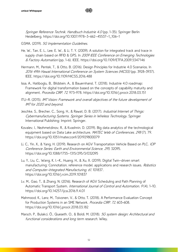Springer Reference Technik. Handbuch Industrie 4.0 (pp. 1-35). Springer Berlin Heidelberg. https://doi.org/10.1007/978-3-662-45537-1\_106-1

GSMA. (2019). 5G Implementation Guidelines.

He, W., Tan, E. L., Lee, E. W., & Li, T. Y. (2009). A solution for integrated track and trace in supply chain based on RFID & GPS. In 2009 IEEE Conference on Emerging Technologies & Factory Automation (pp. 1–6). IEEE. https://doi.org/10.1109/ETFA.2009.5347146

Ⅲ户

- Hermann, M., Pentek, T., & Otto, B. (2016). Design Principles for Industrie 4.0 Scenarios. In 2016 49th Hawaii International Conference on System Sciences (HICSS) (pp. 3928–3937). IEEE. https://doi.org/10.1109/HICSS.2016.488
- Issa, A., Hatiboglu, B., Bildstein, A., & Bauernhansl, T. (2018). Industrie 4.0 roadmap: Framework for digital transformation based on the concepts of capability maturity and alignment. Procedia CIRP, 72, 973–978. https://doi.org/10.1016/j.procir.2018.03.151
- ITU-R. (2015). IMT Vision: Framework and overall objectives of the future development of IMT for 2020 and beyond.
- Jeschke, S., Brecher, C., Song, H., & Rawat, D. B. (2017). Industrial Internet of Things: Cybermanufacturing Systems. Springer Series in Wireless Technology. Springer International Publishing; Imprint: Springer.
- Kovalev, I., Nezhmetdinov, R., & Kvashnin, D. (2019). Big data analytics of the technological equipment based on Data Lake architecture. MATEC Web of Conferences, 298 (7), 79. https://doi.org/10.1051/matecconf/201929800079
- Li, C., Yin, X., & Yang, H. (2019). Research on AGV Transportation Vehicle Based on PLC. *IOP* Conference Series: Earth and Environmental Science, 295, 32095. https://doi.org/10.1088/1755-1315/295/3/032095
- Lu, Y., Liu, C., Wang, K. I.-K., Huang, H., & Xu, X. (2019). Digital Twin-driven smart manufacturing: Connotation, reference model, applications and research issues. Robotics and Computer-Integrated Manufacturing, 61, 101837. https://doi.org/10.1016/j.rcim.2019.101837
- Lv, M., Gao, T., & Zhang, N. (2016). Research of AGV Scheduling and Path Planning of Automatic Transport System. International Journal of Control and Automation, 9(4), 1-10. https://doi.org/10.14257/ijca.2016.9.4.01
- Mahmood, K., Lanz, M., Toivonen, V., & Otto, T. (2018). A Performance Evaluation Concept for Production Systems in an SME Network. Procedia CIRP, 72, 603-608. https://doi.org/10.1016/j.procir.2018.03.182
- Marsch, P., Bulakci, Ö., Queseth, O., & Boldi, M. (2018). 5G system design: Architectural and functional considerations and long term research. Wiley.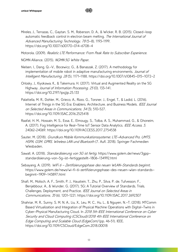Mireles, J., Terrazas, C., Gaytan, S. M., Roberson, D. A., & Wicker, R. B. (2015). Closed-loop automatic feedback control in electron beam melting. The International Journal of Advanced Manufacturing Technology, <sup>78</sup> (5-8), 1193–1199. https://doi.org/10.1007/s00170-014-6708-4

川戸

Motorola. (2009). Realistic LTE Performance: From Peak Rate to Subscriber Experience.

NGMN Alliance. (2015). NGMN 5G White Paper.

- Nielsen, I., Dang, Q.-V., Bocewicz, G., & Banaszak, Z. (2017). A methodology for implementation of mobile robot in adaptive manufacturing environments. Journal of Intelligent Manufacturing, <sup>28</sup> (5), 1171–1188. https://doi.org/10.1007/s10845-015-1072-2
- Orlosky, J., Kiyokawa, K., & Takemura, H. (2017). Virtual and Augmented Reality on the 5G Highway. Journal of Information Processing, 25 (0), 133-141. https://doi.org/10.2197/ipsjjip.25.133
- Palattella, M. R., Dohler, M., Grieco, A., Rizzo, G., Torsner, J., Engel, T., & Ladid, L. (2016). Internet of Things in the 5G Era: Enablers, Architecture, and Business Models. IEEE Journal on Selected Areas in Communications, 34 (3), 510–527. https://doi.org/10.1109/JSAC.2016.2525418
- Raafat, H. M., Hossain, M. S., Essa, E., Elmougy, S., Tolba, A. S., Muhammad, G., & Ghoneim, A. (2017). Fog Intelligence for Real-Time IoT Sensor Data Analytics. IEEE Access, 5, 24062–24069. https://doi.org/10.1109/ACCESS.2017.2754538
- Sauter, M. (2018). Grundkurs Mobile Kommunikationssysteme: LTE-Advanced Pro, UMTS, HSPA, GSM, GPRS, Wireless LAN und Bluetooth (7. Aufl. 2018). Springer Fachmedien Wiesbaden.
- Sawall, A. (2018). Standardisierung von 5G ist fertig. https://www.golem.de/news/3gppstandardisierung-von-5g-ist-fertiggestellt-1806-134992.html
- Sebayang, A. (2019). WiFi 6 Zertifizierungsphase des neuen WLAN-Standards beginnt. https://www.golem.de/news/wi-fi-6-zertifizierungsphase-des-neuen-wlan-standardsbeginnt-1909-143897.html
- Shafi, M., Molisch, A. F., Smith, P. J., Haustein, T., Zhu, P., Silva, P. de, Tufvesson, F., Benjebbour, A., & Wunder, G. (2017). 5G: A Tutorial Overview of Standards, Trials, Challenges, Deployment, and Practice. IEEE Journal on Selected Areas in Communications, 35 (6), 1201–1221. https://doi.org/10.1109/JSAC.2017.2692307
- Shahriar, M. R., Sunny, S. M. N. A., Liu, X., Leu, M. C., Hu, L., & Nguyen, N.-T. (2018). MTComm Based Virtualization and Integration of Physical Machine Operations with Digital-Twins in Cyber-Physical Manufacturing Cloud. In 2018 5th IEEE International Conference on Cyber Security and Cloud Computing (CSCloud)/2018 4th IEEE International Conference on Edge Computing and Scalable Cloud (EdgeCom) (pp. 46–51). IEEE. https://doi.org/10.1109/CSCloud/EdgeCom.2018.00018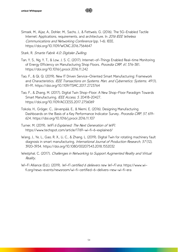Simsek, M., Aijaz, A., Dohler, M., Sachs, J., & Fettweis, G. (2016). The 5G-Enabled Tactile Internet: Applications, requirements, and architecture. In 2016 IEEE Wireless Communications and Networking Conference (pp. 1–6). IEEE. https://doi.org/10.1109/WCNC.2016.7564647

Ⅲ户

Stark, R. Smarte Fabrik 4.0: Digitaler Zwilling.

- Tan, Y. S., Ng, Y. T., & Low, J. S. C. (2017). Internet-of-Things Enabled Real-time Monitoring of Energy Efficiency on Manufacturing Shop Floors. Procedia CIRP, 61, 376-381. https://doi.org/10.1016/j.procir.2016.11.242
- Tao, F., & Qi, Q. (2019). New IT Driven Service-Oriented Smart Manufacturing: Framework and Characteristics. IEEE Transactions on Systems, Man, and Cybernetics: Systems, 49(1), 81–91. https://doi.org/10.1109/TSMC.2017.2723764
- Tao, F., & Zhang, M. (2017). Digital Twin Shop-Floor: A New Shop-Floor Paradigm Towards Smart Manufacturing. IEEE Access, 5, 20418-20427. https://doi.org/10.1109/ACCESS.2017.2756069
- Tokola, H., Gröger, C., Järvenpää, E., & Niemi, E. (2016). Designing Manufacturing Dashboards on the Basis of a Key Performance Indicator Survey. Procedia CIRP, 57, 619-624. https://doi.org/10.1016/j.procir.2016.11.107
- Turner, M. (2019). WiFi 6 Explained: The Next Generation of WiFl. https://www.techspot.com/article/1769-wi-fi-6-explained/
- Wang, J., Ye, L., Gao, R. X., Li, C., & Zhang, L. (2019). Digital Twin for rotating machinery fault diagnosis in smart manufacturing. International Journal of Production Research, 57 (12), 3920–3934. https://doi.org/10.1080/00207543.2018.1552032
- Westphal, C. (2017). Challenges in Networking to Support Augmented Reality and Virtual Reality.
- Wi-Fi Alliance (Ed.). (2019). Wi-Fi certified 6 delievers new Wi-Fi era. https://www.wifi.org/news-events/newsroom/wi-fi-certified-6-delivers-new-wi-fi-era